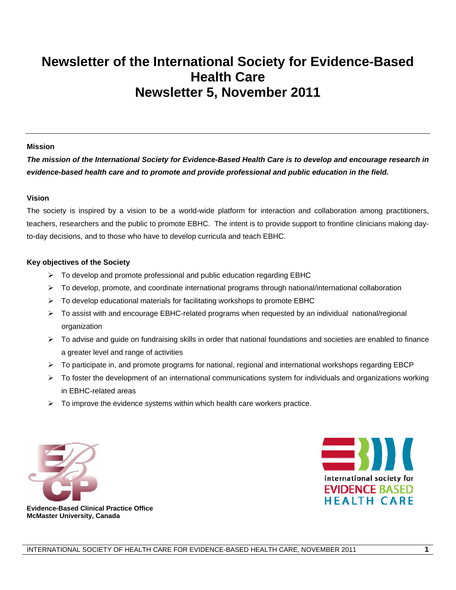# **Newsletter of the International Society for Evidence-Based Health Care Newsletter 5, November 2011**

#### **Mission**

*The mission of the International Society for Evidence-Based Health Care is to develop and encourage research in evidence-based health care and to promote and provide professional and public education in the field.* 

#### **Vision**

The society is inspired by a vision to be a world-wide platform for interaction and collaboration among practitioners, teachers, researchers and the public to promote EBHC. The intent is to provide support to frontline clinicians making dayto-day decisions, and to those who have to develop curricula and teach EBHC.

#### **Key objectives of the Society**

- $\triangleright$  To develop and promote professional and public education regarding EBHC
- $\triangleright$  To develop, promote, and coordinate international programs through national/international collaboration
- $\triangleright$  To develop educational materials for facilitating workshops to promote EBHC
- $\triangleright$  To assist with and encourage EBHC-related programs when requested by an individual national/regional organization
- $\triangleright$  To advise and guide on fundraising skills in order that national foundations and societies are enabled to finance a greater level and range of activities
- $\triangleright$  To participate in, and promote programs for national, regional and international workshops regarding EBCP
- $\triangleright$  To foster the development of an international communications system for individuals and organizations working in EBHC-related areas
- $\triangleright$  To improve the evidence systems within which health care workers practice.





 **Evidence-Based Clinical Practice Office McMaster University, Canada**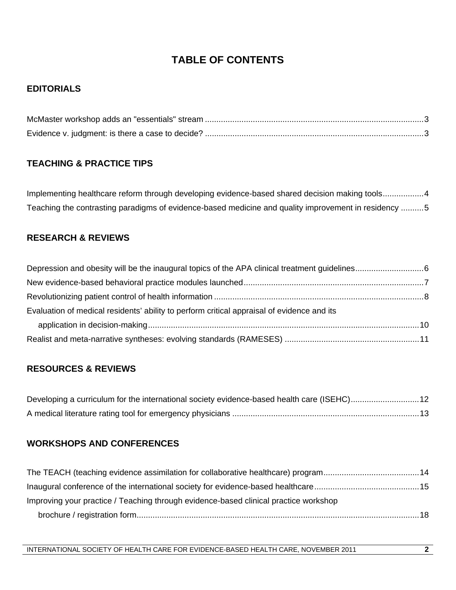# **TABLE OF CONTENTS**

## **EDITORIALS**

## **TEACHING & PRACTICE TIPS**

Implementing healthcare reform through developing evidence-based shared decision making tools..................4 Teaching the contrasting paradigms of evidence-based medicine and quality improvement in residency ..........5

## **RESEARCH & REVIEWS**

| Evaluation of medical residents' ability to perform critical appraisal of evidence and its |  |
|--------------------------------------------------------------------------------------------|--|
|                                                                                            |  |
|                                                                                            |  |

### **RESOURCES & REVIEWS**

| Developing a curriculum for the international society evidence-based health care (ISEHC)12 |  |
|--------------------------------------------------------------------------------------------|--|
|                                                                                            |  |

## **WORKSHOPS AND CONFERENCES**

| Improving your practice / Teaching through evidence-based clinical practice workshop |  |
|--------------------------------------------------------------------------------------|--|
|                                                                                      |  |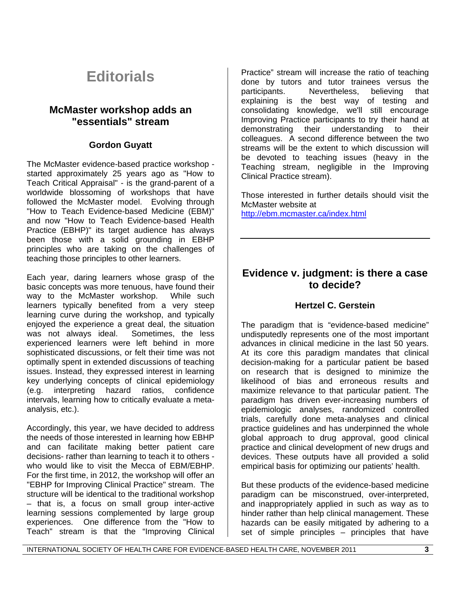# **Editorials**

## **McMaster workshop adds an "essentials" stream**

### **Gordon Guyatt**

The McMaster evidence-based practice workshop started approximately 25 years ago as "How to Teach Critical Appraisal" - is the grand-parent of a worldwide blossoming of workshops that have followed the McMaster model. Evolving through "How to Teach Evidence-based Medicine (EBM)" and now "How to Teach Evidence-based Health Practice (EBHP)" its target audience has always been those with a solid grounding in EBHP principles who are taking on the challenges of teaching those principles to other learners.

Each year, daring learners whose grasp of the basic concepts was more tenuous, have found their way to the McMaster workshop. While such learners typically benefited from a very steep learning curve during the workshop, and typically enjoyed the experience a great deal, the situation was not always ideal. Sometimes, the less experienced learners were left behind in more sophisticated discussions, or felt their time was not optimally spent in extended discussions of teaching issues. Instead, they expressed interest in learning key underlying concepts of clinical epidemiology (e.g. interpreting hazard ratios, confidence intervals, learning how to critically evaluate a metaanalysis, etc.).

Accordingly, this year, we have decided to address the needs of those interested in learning how EBHP and can facilitate making better patient care decisions- rather than learning to teach it to others who would like to visit the Mecca of EBM/EBHP. For the first time, in 2012, the workshop will offer an "EBHP for Improving Clinical Practice" stream. The structure will be identical to the traditional workshop – that is, a focus on small group inter-active learning sessions complemented by large group experiences. One difference from the "How to Teach" stream is that the "Improving Clinical Practice" stream will increase the ratio of teaching done by tutors and tutor trainees versus the participants. Nevertheless, believing that explaining is the best way of testing and consolidating knowledge, we'll still encourage Improving Practice participants to try their hand at demonstrating their understanding to their colleagues. A second difference between the two streams will be the extent to which discussion will be devoted to teaching issues (heavy in the Teaching stream, negligible in the Improving Clinical Practice stream).

Those interested in further details should visit the McMaster website at

http://ebm.mcmaster.ca/index.html

## **Evidence v. judgment: is there a case to decide?**

### **Hertzel C. Gerstein**

The paradigm that is "evidence-based medicine" undisputedly represents one of the most important advances in clinical medicine in the last 50 years. At its core this paradigm mandates that clinical decision-making for a particular patient be based on research that is designed to minimize the likelihood of bias and erroneous results and maximize relevance to that particular patient. The paradigm has driven ever-increasing numbers of epidemiologic analyses, randomized controlled trials, carefully done meta-analyses and clinical practice guidelines and has underpinned the whole global approach to drug approval, good clinical practice and clinical development of new drugs and devices. These outputs have all provided a solid empirical basis for optimizing our patients' health.

But these products of the evidence-based medicine paradigm can be misconstrued, over-interpreted, and inappropriately applied in such as way as to hinder rather than help clinical management. These hazards can be easily mitigated by adhering to a set of simple principles – principles that have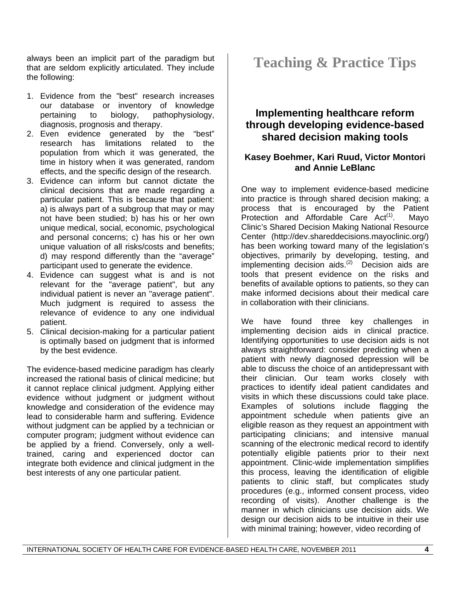always been an implicit part of the paradigm but that are seldom explicitly articulated. They include the following:

- 1. Evidence from the "best" research increases our database or inventory of knowledge pertaining to biology, pathophysiology, diagnosis, prognosis and therapy.
- 2. Even evidence generated by the "best" research has limitations related to the population from which it was generated, the time in history when it was generated, random effects, and the specific design of the research.
- 3. Evidence can inform but cannot dictate the clinical decisions that are made regarding a particular patient. This is because that patient: a) is always part of a subgroup that may or may not have been studied; b) has his or her own unique medical, social, economic, psychological and personal concerns; c) has his or her own unique valuation of all risks/costs and benefits; d) may respond differently than the "average" participant used to generate the evidence.
- 4. Evidence can suggest what is and is not relevant for the "average patient", but any individual patient is never an "average patient". Much judgment is required to assess the relevance of evidence to any one individual patient.
- 5. Clinical decision-making for a particular patient is optimally based on judgment that is informed by the best evidence.

The evidence-based medicine paradigm has clearly increased the rational basis of clinical medicine; but it cannot replace clinical judgment. Applying either evidence without judgment or judgment without knowledge and consideration of the evidence may lead to considerable harm and suffering. Evidence without judgment can be applied by a technician or computer program; judgment without evidence can be applied by a friend. Conversely, only a welltrained, caring and experienced doctor can integrate both evidence and clinical judgment in the best interests of any one particular patient.

# **Teaching & Practice Tips**

# **Implementing healthcare reform through developing evidence-based shared decision making tools**

## **Kasey Boehmer, Kari Ruud, Victor Montori and Annie LeBlanc**

One way to implement evidence-based medicine into practice is through shared decision making; a process that is encouraged by the Patient Protection and Affordable Care  $Act^{(1)}$ . Mayo Clinic's Shared Decision Making National Resource Center (http://dev.shareddecisions.mayoclinic.org/) has been working toward many of the legislation's objectives, primarily by developing, testing, and implementing decision aids.<sup>(2)</sup> Decision aids are tools that present evidence on the risks and benefits of available options to patients, so they can make informed decisions about their medical care in collaboration with their clinicians.

We have found three key challenges in implementing decision aids in clinical practice. Identifying opportunities to use decision aids is not always straightforward: consider predicting when a patient with newly diagnosed depression will be able to discuss the choice of an antidepressant with their clinician. Our team works closely with practices to identify ideal patient candidates and visits in which these discussions could take place. Examples of solutions include flagging the appointment schedule when patients give an eligible reason as they request an appointment with participating clinicians; and intensive manual scanning of the electronic medical record to identify potentially eligible patients prior to their next appointment. Clinic-wide implementation simplifies this process, leaving the identification of eligible patients to clinic staff, but complicates study procedures (e.g., informed consent process, video recording of visits). Another challenge is the manner in which clinicians use decision aids. We design our decision aids to be intuitive in their use with minimal training; however, video recording of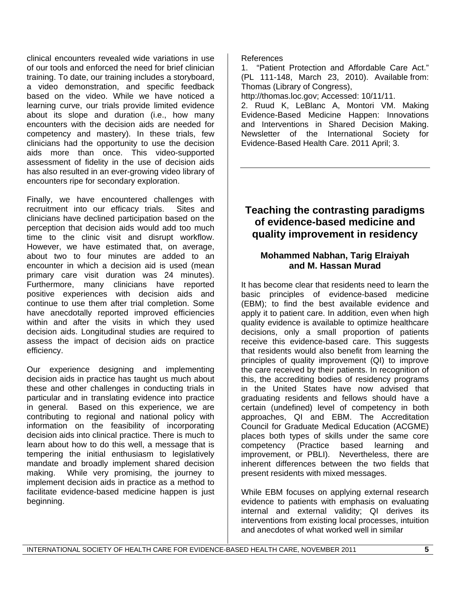clinical encounters revealed wide variations in use of our tools and enforced the need for brief clinician training. To date, our training includes a storyboard, a video demonstration, and specific feedback based on the video. While we have noticed a learning curve, our trials provide limited evidence about its slope and duration (i.e., how many encounters with the decision aids are needed for competency and mastery). In these trials, few clinicians had the opportunity to use the decision aids more than once. This video-supported assessment of fidelity in the use of decision aids has also resulted in an ever-growing video library of encounters ripe for secondary exploration.

Finally, we have encountered challenges with recruitment into our efficacy trials. Sites and clinicians have declined participation based on the perception that decision aids would add too much time to the clinic visit and disrupt workflow. However, we have estimated that, on average, about two to four minutes are added to an encounter in which a decision aid is used (mean primary care visit duration was 24 minutes). Furthermore, many clinicians have reported positive experiences with decision aids and continue to use them after trial completion. Some have anecdotally reported improved efficiencies within and after the visits in which they used decision aids. Longitudinal studies are required to assess the impact of decision aids on practice efficiency.

Our experience designing and implementing decision aids in practice has taught us much about these and other challenges in conducting trials in particular and in translating evidence into practice in general. Based on this experience, we are contributing to regional and national policy with information on the feasibility of incorporating decision aids into clinical practice. There is much to learn about how to do this well, a message that is tempering the initial enthusiasm to legislatively mandate and broadly implement shared decision making. While very promising, the journey to implement decision aids in practice as a method to facilitate evidence-based medicine happen is just beginning.

References

1. "Patient Protection and Affordable Care Act." (PL 111-148, March 23, 2010). Available from: Thomas (Library of Congress),

http://thomas.loc.gov; Accessed: 10/11/11.

2. Ruud K, LeBlanc A, Montori VM. Making Evidence-Based Medicine Happen: Innovations and Interventions in Shared Decision Making. Newsletter of the International Society for Evidence-Based Health Care. 2011 April; 3.

## **Teaching the contrasting paradigms of evidence-based medicine and quality improvement in residency**

## **Mohammed Nabhan, Tarig Elraiyah and M. Hassan Murad**

It has become clear that residents need to learn the basic principles of evidence-based medicine (EBM); to find the best available evidence and apply it to patient care. In addition, even when high quality evidence is available to optimize healthcare decisions, only a small proportion of patients receive this evidence-based care. This suggests that residents would also benefit from learning the principles of quality improvement (QI) to improve the care received by their patients. In recognition of this, the accrediting bodies of residency programs in the United States have now advised that graduating residents and fellows should have a certain (undefined) level of competency in both approaches, QI and EBM. The Accreditation Council for Graduate Medical Education (ACGME) places both types of skills under the same core competency (Practice based learning and improvement, or PBLI). Nevertheless, there are inherent differences between the two fields that present residents with mixed messages.

While EBM focuses on applying external research evidence to patients with emphasis on evaluating internal and external validity; QI derives its interventions from existing local processes, intuition and anecdotes of what worked well in similar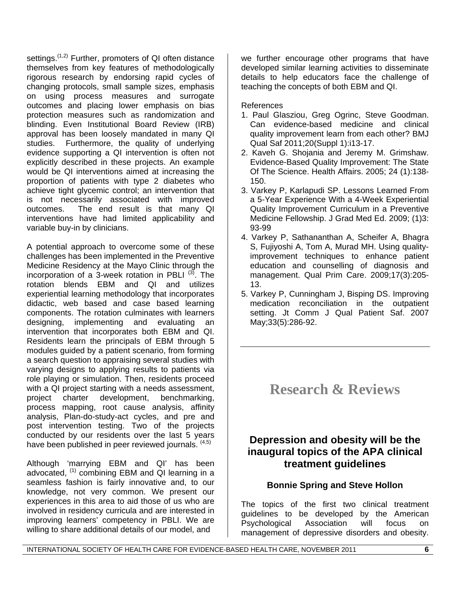settings. $(1,2)$  Further, promoters of QI often distance themselves from key features of methodologically rigorous research by endorsing rapid cycles of changing protocols, small sample sizes, emphasis on using process measures and surrogate outcomes and placing lower emphasis on bias protection measures such as randomization and blinding. Even Institutional Board Review (IRB) approval has been loosely mandated in many QI studies. Furthermore, the quality of underlying evidence supporting a QI intervention is often not explicitly described in these projects. An example would be QI interventions aimed at increasing the proportion of patients with type 2 diabetes who achieve tight glycemic control; an intervention that is not necessarily associated with improved outcomes. The end result is that many QI interventions have had limited applicability and variable buy-in by clinicians.

A potential approach to overcome some of these challenges has been implemented in the Preventive Medicine Residency at the Mayo Clinic through the incorporation of a 3-week rotation in PBLI  $(3)$ . The rotation blends EBM and QI and utilizes experiential learning methodology that incorporates didactic, web based and case based learning components. The rotation culminates with learners designing, implementing and evaluating an intervention that incorporates both EBM and QI. Residents learn the principals of EBM through 5 modules guided by a patient scenario, from forming a search question to appraising several studies with varying designs to applying results to patients via role playing or simulation. Then, residents proceed with a QI project starting with a needs assessment, project charter development, benchmarking, process mapping, root cause analysis, affinity analysis, Plan-do-study-act cycles, and pre and post intervention testing. Two of the projects conducted by our residents over the last 5 years have been published in peer reviewed journals. (4,5)

Although 'marrying EBM and QI' has been advocated,  $(1)$  combining EBM and QI learning in a seamless fashion is fairly innovative and, to our knowledge, not very common. We present our experiences in this area to aid those of us who are involved in residency curricula and are interested in improving learners' competency in PBLI. We are willing to share additional details of our model, and

we further encourage other programs that have developed similar learning activities to disseminate details to help educators face the challenge of teaching the concepts of both EBM and QI.

References

- 1. Paul Glasziou, Greg Ogrinc, Steve Goodman. Can evidence-based medicine and clinical quality improvement learn from each other? BMJ Qual Saf 2011;20(Suppl 1):i13-17.
- 2. Kaveh G. Shojania and Jeremy M. Grimshaw. Evidence-Based Quality Improvement: The State Of The Science. Health Affairs. 2005; 24 (1):138- 150.
- 3. Varkey P, Karlapudi SP. Lessons Learned From a 5-Year Experience With a 4-Week Experiential Quality Improvement Curriculum in a Preventive Medicine Fellowship. J Grad Med Ed. 2009; (1)3: 93-99
- 4. Varkey P, Sathananthan A, Scheifer A, Bhagra S, Fujiyoshi A, Tom A, Murad MH. Using qualityimprovement techniques to enhance patient education and counselling of diagnosis and management. Qual Prim Care. 2009;17(3):205- 13.
- 5. Varkey P, Cunningham J, Bisping DS. Improving medication reconciliation in the outpatient setting. Jt Comm J Qual Patient Saf. 2007 May;33(5):286-92.

# **Research & Reviews**

# **Depression and obesity will be the inaugural topics of the APA clinical treatment guidelines**

## **Bonnie Spring and Steve Hollon**

The topics of the first two clinical treatment guidelines to be developed by the American Psychological Association will focus on management of depressive disorders and obesity.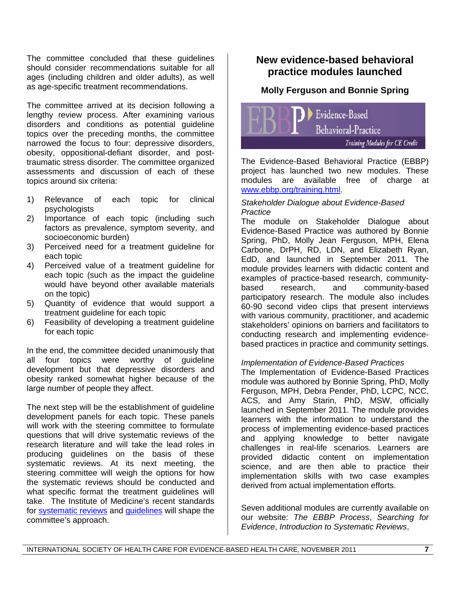The committee concluded that these guidelines should consider recommendations suitable for all ages (including children and older adults), as well as age-specific treatment recommendations.

The committee arrived at its decision following a lengthy review process. After examining various disorders and conditions as potential guideline topics over the preceding months, the committee narrowed the focus to four: depressive disorders, obesity, oppositional-defiant disorder, and posttraumatic stress disorder. The committee organized assessments and discussion of each of these topics around six criteria:

- 1) Relevance of each topic for clinical psychologists
- 2) Importance of each topic (including such factors as prevalence, symptom severity, and socioeconomic burden)
- 3) Perceived need for a treatment guideline for each topic
- 4) Perceived value of a treatment guideline for each topic (such as the impact the guideline would have beyond other available materials on the topic)
- 5) Quantity of evidence that would support a treatment guideline for each topic
- 6) Feasibility of developing a treatment guideline for each topic

In the end, the committee decided unanimously that all four topics were worthy of guideline development but that depressive disorders and obesity ranked somewhat higher because of the large number of people they affect.

The next step will be the establishment of guideline development panels for each topic. These panels will work with the steering committee to formulate questions that will drive systematic reviews of the research literature and will take the lead roles in producing guidelines on the basis of these systematic reviews. At its next meeting, the steering committee will weigh the options for how the systematic reviews should be conducted and what specific format the treatment quidelines will take. The Institute of Medicine's recent standards for systematic reviews and guidelines will shape the committee's approach.

# **New evidence-based behavioral practice modules launched**

## **Molly Ferguson and Bonnie Spring**

Evidence-Based **Behavioral-Practice** Training Modules for CE Credit

The Evidence-Based Behavioral Practice (EBBP) project has launched two new modules. These modules are available free of charge at www.ebbp.org/training.html.

#### *Stakeholder Dialogue about Evidence-Based Practice*

The module on Stakeholder Dialogue about Evidence-Based Practice was authored by Bonnie Spring, PhD, Molly Jean Ferguson, MPH, Elena Carbone, DrPH, RD, LDN, and Elizabeth Ryan, EdD, and launched in September 2011. The module provides learners with didactic content and examples of practice-based research, communitybased research, and community-based participatory research. The module also includes 60-90 second video clips that present interviews with various community, practitioner, and academic stakeholders' opinions on barriers and facilitators to conducting research and implementing evidencebased practices in practice and community settings.

#### *Implementation of Evidence-Based Practices*

The Implementation of Evidence-Based Practices module was authored by Bonnie Spring, PhD, Molly Ferguson, MPH, Debra Pender, PhD, LCPC, NCC, ACS, and Amy Starin, PhD, MSW, officially launched in September 2011. The module provides learners with the information to understand the process of implementing evidence-based practices and applying knowledge to better navigate challenges in real-life scenarios. Learners are provided didactic content on implementation science, and are then able to practice their implementation skills with two case examples derived from actual implementation efforts.

Seven additional modules are currently available on our website: *The EBBP Process*, *Searching for Evidence*, *Introduction to Systematic Reviews*,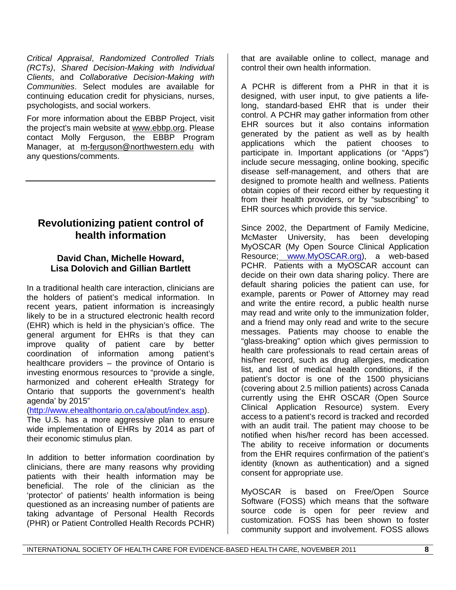*Critical Appraisal*, *Randomized Controlled Trials (RCTs)*, *Shared Decision-Making with Individual Clients*, and *Collaborative Decision-Making with Communities*. Select modules are available for continuing education credit for physicians, nurses, psychologists, and social workers.

For more information about the EBBP Project, visit the project's main website at www.ebbp.org. Please contact Molly Ferguson, the EBBP Program Manager, at m-ferguson@northwestern.edu with any questions/comments.

# **Revolutionizing patient control of health information**

### **David Chan, Michelle Howard, Lisa Dolovich and Gillian Bartlett**

In a traditional health care interaction, clinicians are the holders of patient's medical information. In recent years, patient information is increasingly likely to be in a structured electronic health record (EHR) which is held in the physician's office. The general argument for EHRs is that they can improve quality of patient care by better coordination of information among patient's healthcare providers – the province of Ontario is investing enormous resources to "provide a single, harmonized and coherent eHealth Strategy for Ontario that supports the government's health agenda' by 2015"

(http://www.ehealthontario.on.ca/about/index.asp).

The U.S. has a more aggressive plan to ensure wide implementation of EHRs by 2014 as part of their economic stimulus plan.

In addition to better information coordination by clinicians, there are many reasons why providing patients with their health information may be beneficial. The role of the clinician as the 'protector' of patients' health information is being questioned as an increasing number of patients are taking advantage of Personal Health Records (PHR) or Patient Controlled Health Records PCHR) that are available online to collect, manage and control their own health information.

A PCHR is different from a PHR in that it is designed, with user input, to give patients a lifelong, standard-based EHR that is under their control. A PCHR may gather information from other EHR sources but it also contains information generated by the patient as well as by health applications which the patient chooses to participate in. Important applications (or "Apps") include secure messaging, online booking, specific disease self-management, and others that are designed to promote health and wellness. Patients obtain copies of their record either by requesting it from their health providers, or by "subscribing" to EHR sources which provide this service.

Since 2002, the Department of Family Medicine, McMaster University, has been developing MyOSCAR (My Open Source Clinical Application Resource; www.MyOSCAR.org), a web-based PCHR. Patients with a MyOSCAR account can decide on their own data sharing policy. There are default sharing policies the patient can use, for example, parents or Power of Attorney may read and write the entire record, a public health nurse may read and write only to the immunization folder, and a friend may only read and write to the secure messages. Patients may choose to enable the "glass-breaking" option which gives permission to health care professionals to read certain areas of his/her record, such as drug allergies, medication list, and list of medical health conditions, if the patient's doctor is one of the 1500 physicians (covering about 2.5 million patients) across Canada currently using the EHR OSCAR (Open Source Clinical Application Resource) system. Every access to a patient's record is tracked and recorded with an audit trail. The patient may choose to be notified when his/her record has been accessed. The ability to receive information or documents from the EHR requires confirmation of the patient's identity (known as authentication) and a signed consent for appropriate use.

MyOSCAR is based on Free/Open Source Software (FOSS) which means that the software source code is open for peer review and customization. FOSS has been shown to foster community support and involvement. FOSS allows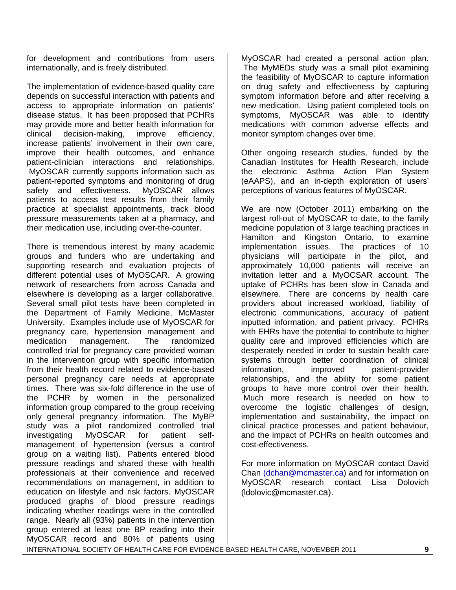for development and contributions from users internationally, and is freely distributed.

The implementation of evidence-based quality care depends on successful interaction with patients and access to appropriate information on patients' disease status. It has been proposed that PCHRs may provide more and better health information for clinical decision-making, improve efficiency, increase patients' involvement in their own care, improve their health outcomes, and enhance patient-clinician interactions and relationships. MyOSCAR currently supports information such as patient-reported symptoms and monitoring of drug safety and effectiveness. MyOSCAR allows patients to access test results from their family practice at specialist appointments, track blood pressure measurements taken at a pharmacy, and their medication use, including over-the-counter.

There is tremendous interest by many academic groups and funders who are undertaking and supporting research and evaluation projects of different potential uses of MyOSCAR. A growing network of researchers from across Canada and elsewhere is developing as a larger collaborative. Several small pilot tests have been completed in the Department of Family Medicine, McMaster University. Examples include use of MyOSCAR for pregnancy care, hypertension management and medication management. The randomized controlled trial for pregnancy care provided woman in the intervention group with specific information from their health record related to evidence-based personal pregnancy care needs at appropriate times. There was six-fold difference in the use of the PCHR by women in the personalized information group compared to the group receiving only general pregnancy information. The MyBP study was a pilot randomized controlled trial investigating MyOSCAR for patient selfmanagement of hypertension (versus a control group on a waiting list). Patients entered blood pressure readings and shared these with health professionals at their convenience and received recommendations on management, in addition to education on lifestyle and risk factors. MyOSCAR produced graphs of blood pressure readings indicating whether readings were in the controlled range. Nearly all (93%) patients in the intervention group entered at least one BP reading into their MyOSCAR record and 80% of patients using

MyOSCAR had created a personal action plan. The MyMEDs study was a small pilot examining the feasibility of MyOSCAR to capture information on drug safety and effectiveness by capturing symptom information before and after receiving a new medication. Using patient completed tools on symptoms, MyOSCAR was able to identify medications with common adverse effects and monitor symptom changes over time.

Other ongoing research studies, funded by the Canadian Institutes for Health Research, include the electronic Asthma Action Plan System (eAAPS), and an in-depth exploration of users' perceptions of various features of MyOSCAR.

We are now (October 2011) embarking on the largest roll-out of MyOSCAR to date, to the family medicine population of 3 large teaching practices in Hamilton and Kingston Ontario, to examine implementation issues. The practices of 10 physicians will participate in the pilot, and approximately 10,000 patients will receive an invitation letter and a MyOCSAR account. The uptake of PCHRs has been slow in Canada and elsewhere. There are concerns by health care providers about increased workload, liability of electronic communications, accuracy of patient inputted information, and patient privacy. PCHRs with EHRs have the potential to contribute to higher quality care and improved efficiencies which are desperately needed in order to sustain health care systems through better coordination of clinical information, improved patient-provider relationships, and the ability for some patient groups to have more control over their health. Much more research is needed on how to overcome the logistic challenges of design, implementation and sustainability, the impact on clinical practice processes and patient behaviour, and the impact of PCHRs on health outcomes and cost-effectiveness.

For more information on MyOSCAR contact David Chan (dchan@mcmaster.ca) and for information on MyOSCAR research contact Lisa Dolovich (ldolovic@mcmaster.ca).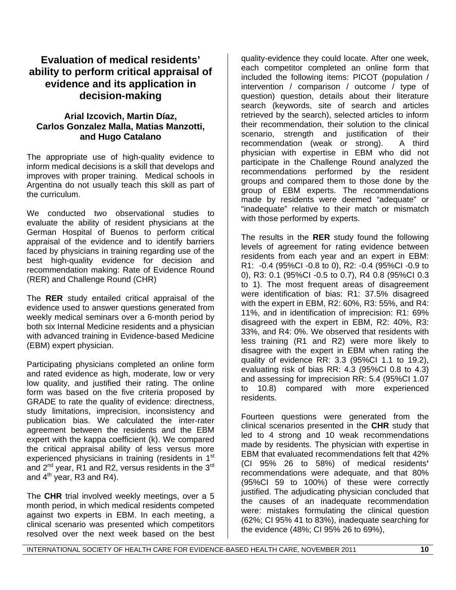## **Evaluation of medical residents' ability to perform critical appraisal of evidence and its application in decision-making**

## **Arial Izcovich, Martin Díaz, Carlos Gonzalez Malla, Matias Manzotti, and Hugo Catalano**

The appropriate use of high-quality evidence to inform medical decisions is a skill that develops and improves with proper training. Medical schools in Argentina do not usually teach this skill as part of the curriculum.

We conducted two observational studies to evaluate the ability of resident physicians at the German Hospital of Buenos to perform critical appraisal of the evidence and to identify barriers faced by physicians in training regarding use of the best high-quality evidence for decision and recommendation making: Rate of Evidence Round (RER) and Challenge Round (CHR)

The **RER** study entailed critical appraisal of the evidence used to answer questions generated from weekly medical seminars over a 6-month period by both six Internal Medicine residents and a physician with advanced training in Evidence-based Medicine (EBM) expert physician.

Participating physicians completed an online form and rated evidence as high, moderate, low or very low quality, and justified their rating. The online form was based on the five criteria proposed by GRADE to rate the quality of evidence: directness, study limitations, imprecision, inconsistency and publication bias. We calculated the inter-rater agreement between the residents and the EBM expert with the kappa coefficient (k). We compared the critical appraisal ability of less versus more experienced physicians in training (residents in 1<sup>st</sup> and  $2^{nd}$  year, R1 and R2, versus residents in the  $3^{rd}$ and  $4<sup>th</sup>$  year, R3 and R4).

The **CHR** trial involved weekly meetings, over a 5 month period, in which medical residents competed against two experts in EBM. In each meeting, a clinical scenario was presented which competitors resolved over the next week based on the best

quality-evidence they could locate. After one week, each competitor completed an online form that included the following items: PICOT (population / intervention / comparison / outcome / type of question) question, details about their literature search (keywords, site of search and articles retrieved by the search), selected articles to inform their recommendation, their solution to the clinical scenario, strength and justification of their recommendation (weak or strong). A third physician with expertise in EBM who did not participate in the Challenge Round analyzed the recommendations performed by the resident groups and compared them to those done by the group of EBM experts. The recommendations made by residents were deemed "adequate" or "inadequate" relative to their match or mismatch with those performed by experts.

The results in the **RER** study found the following levels of agreement for rating evidence between residents from each year and an expert in EBM: R1: -0.4 (95%CI -0.8 to 0), R2: -0.4 (95%CI -0.9 to 0), R3: 0.1 (95%CI -0.5 to 0.7), R4 0.8 (95%CI 0.3 to 1). The most frequent areas of disagreement were identification of bias: R1: 37.5% disagreed with the expert in EBM, R2: 60%, R3: 55%, and R4: 11%, and in identification of imprecision: R1: 69% disagreed with the expert in EBM, R2: 40%, R3: 33%, and R4: 0%. We observed that residents with less training (R1 and R2) were more likely to disagree with the expert in EBM when rating the quality of evidence RR: 3.3 (95%CI 1.1 to 19.2), evaluating risk of bias RR: 4.3 (95%CI 0.8 to 4.3) and assessing for imprecision RR: 5.4 (95%CI 1.07 to 10.8) compared with more experienced residents.

Fourteen questions were generated from the clinical scenarios presented in the **CHR** study that led to 4 strong and 10 weak recommendations made by residents. The physician with expertise in EBM that evaluated recommendations felt that 42% (CI 95% 26 to 58%) of medical residents**'**  recommendations were adequate, and that 80% (95%CI 59 to 100%) of these were correctly justified. The adjudicating physician concluded that the causes of an inadequate recommendation were: mistakes formulating the clinical question (62%; CI 95% 41 to 83%), inadequate searching for the evidence (48%; CI 95% 26 to 69%),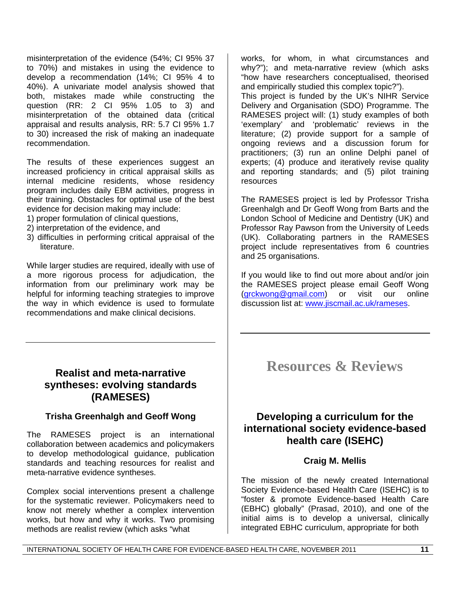misinterpretation of the evidence (54%; CI 95% 37 to 70%) and mistakes in using the evidence to develop a recommendation (14%; CI 95% 4 to 40%). A univariate model analysis showed that both, mistakes made while constructing the question (RR: 2 CI 95% 1.05 to 3) and misinterpretation of the obtained data (critical appraisal and results analysis, RR: 5.7 CI 95% 1.7 to 30) increased the risk of making an inadequate recommendation.

The results of these experiences suggest an increased proficiency in critical appraisal skills as internal medicine residents, whose residency program includes daily EBM activities, progress in their training. Obstacles for optimal use of the best evidence for decision making may include:

- 1) proper formulation of clinical questions,
- 2) interpretation of the evidence, and
- 3) difficulties in performing critical appraisal of the literature.

While larger studies are required, ideally with use of a more rigorous process for adjudication, the information from our preliminary work may be helpful for informing teaching strategies to improve the way in which evidence is used to formulate recommendations and make clinical decisions.

## **Realist and meta-narrative syntheses: evolving standards (RAMESES)**

### **Trisha Greenhalgh and Geoff Wong**

The RAMESES project is an international collaboration between academics and policymakers to develop methodological guidance, publication standards and teaching resources for realist and meta-narrative evidence syntheses.

Complex social interventions present a challenge for the systematic reviewer. Policymakers need to know not merely whether a complex intervention works, but how and why it works. Two promising methods are realist review (which asks "what

works, for whom, in what circumstances and why?"); and meta-narrative review (which asks "how have researchers conceptualised, theorised and empirically studied this complex topic?").

This project is funded by the UK's NIHR Service Delivery and Organisation (SDO) Programme. The RAMESES project will: (1) study examples of both 'exemplary' and 'problematic' reviews in the literature; (2) provide support for a sample of ongoing reviews and a discussion forum for practitioners; (3) run an online Delphi panel of experts; (4) produce and iteratively revise quality and reporting standards; and (5) pilot training resources

The RAMESES project is led by Professor Trisha Greenhalgh and Dr Geoff Wong from Barts and the London School of Medicine and Dentistry (UK) and Professor Ray Pawson from the University of Leeds (UK). Collaborating partners in the RAMESES project include representatives from 6 countries and 25 organisations.

If you would like to find out more about and/or join the RAMESES project please email Geoff Wong (grckwong@gmail.com) or visit our online discussion list at: www.jiscmail.ac.uk/rameses.

# **Resources & Reviews**

# **Developing a curriculum for the international society evidence-based health care (ISEHC)**

#### **Craig M. Mellis**

The mission of the newly created International Society Evidence-based Health Care (ISEHC) is to "foster & promote Evidence-based Health Care (EBHC) globally" (Prasad, 2010), and one of the initial aims is to develop a universal, clinically integrated EBHC curriculum, appropriate for both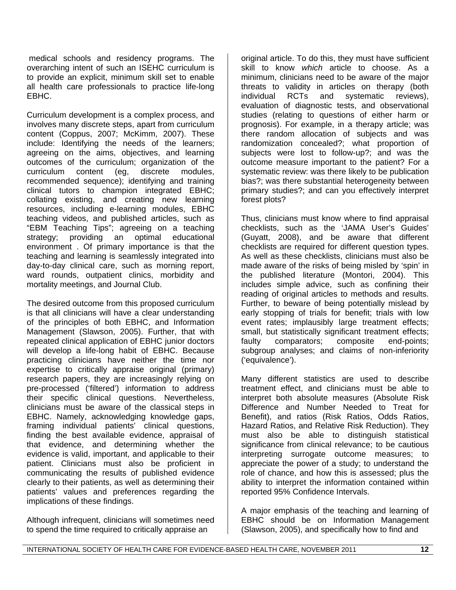medical schools and residency programs. The overarching intent of such an ISEHC curriculum is to provide an explicit, minimum skill set to enable all health care professionals to practice life-long EBHC.

Curriculum development is a complex process, and involves many discrete steps, apart from curriculum content (Coppus, 2007; McKimm, 2007). These include: Identifying the needs of the learners; agreeing on the aims, objectives, and learning outcomes of the curriculum; organization of the curriculum content (eg, discrete modules, recommended sequence); identifying and training clinical tutors to champion integrated EBHC; collating existing, and creating new learning resources, including e-learning modules, EBHC teaching videos, and published articles, such as "EBM Teaching Tips"; agreeing on a teaching strategy; providing an optimal educational environment . Of primary importance is that the teaching and learning is seamlessly integrated into day-to-day clinical care, such as morning report, ward rounds, outpatient clinics, morbidity and mortality meetings, and Journal Club.

The desired outcome from this proposed curriculum is that all clinicians will have a clear understanding of the principles of both EBHC, and Information Management (Slawson, 2005). Further, that with repeated clinical application of EBHC junior doctors will develop a life-long habit of EBHC. Because practicing clinicians have neither the time nor expertise to critically appraise original (primary) research papers, they are increasingly relying on pre-processed ('filtered') information to address their specific clinical questions. Nevertheless, clinicians must be aware of the classical steps in EBHC. Namely, acknowledging knowledge gaps, framing individual patients' clinical questions, finding the best available evidence, appraisal of that evidence, and determining whether the evidence is valid, important, and applicable to their patient. Clinicians must also be proficient in communicating the results of published evidence clearly to their patients, as well as determining their patients' values and preferences regarding the implications of these findings.

Although infrequent, clinicians will sometimes need to spend the time required to critically appraise an

original article. To do this, they must have sufficient skill to know *which* article to choose. As a minimum, clinicians need to be aware of the major threats to validity in articles on therapy (both individual RCTs and systematic reviews), evaluation of diagnostic tests, and observational studies (relating to questions of either harm or prognosis). For example, in a therapy article; was there random allocation of subjects and was randomization concealed?; what proportion of subjects were lost to follow-up?; and was the outcome measure important to the patient? For a systematic review: was there likely to be publication bias?; was there substantial heterogeneity between primary studies?; and can you effectively interpret forest plots?

Thus, clinicians must know where to find appraisal checklists, such as the 'JAMA User's Guides' (Guyatt, 2008), and be aware that different checklists are required for different question types. As well as these checklists, clinicians must also be made aware of the risks of being misled by 'spin' in the published literature (Montori, 2004). This includes simple advice, such as confining their reading of original articles to methods and results. Further, to beware of being potentially mislead by early stopping of trials for benefit; trials with low event rates; implausibly large treatment effects; small, but statistically significant treatment effects; faulty comparators; composite end-points; subgroup analyses; and claims of non-inferiority ('equivalence').

Many different statistics are used to describe treatment effect, and clinicians must be able to interpret both absolute measures (Absolute Risk Difference and Number Needed to Treat for Benefit), and ratios (Risk Ratios, Odds Ratios, Hazard Ratios, and Relative Risk Reduction). They must also be able to distinguish statistical significance from clinical relevance; to be cautious interpreting surrogate outcome measures; to appreciate the power of a study; to understand the role of chance, and how this is assessed; plus the ability to interpret the information contained within reported 95% Confidence Intervals.

A major emphasis of the teaching and learning of EBHC should be on Information Management (Slawson, 2005), and specifically how to find and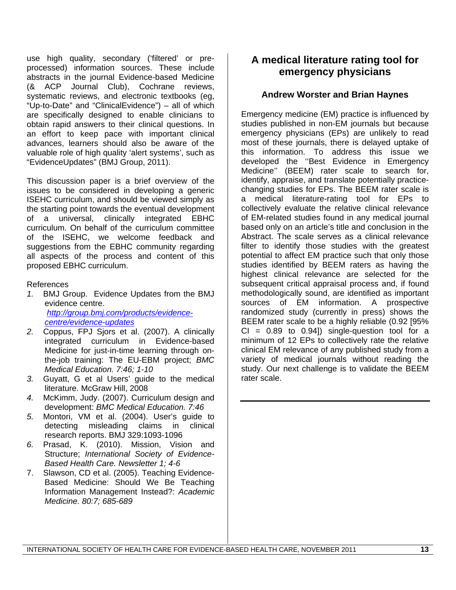use high quality, secondary ('filtered' or preprocessed) information sources. These include abstracts in the journal Evidence-based Medicine (& ACP Journal Club), Cochrane reviews, systematic reviews, and electronic textbooks (eg, "Up-to-Date" and "ClinicalEvidence") – all of which are specifically designed to enable clinicians to obtain rapid answers to their clinical questions. In an effort to keep pace with important clinical advances, learners should also be aware of the valuable role of high quality 'alert systems', such as "EvidenceUpdates" (BMJ Group, 2011).

This discussion paper is a brief overview of the issues to be considered in developing a generic ISEHC curriculum, and should be viewed simply as the starting point towards the eventual development of a universal, clinically integrated EBHC curriculum. On behalf of the curriculum committee of the ISEHC, we welcome feedback and suggestions from the EBHC community regarding all aspects of the process and content of this proposed EBHC curriculum.

#### References

- *1.* BMJ Group. Evidence Updates from the BMJ evidence centre. *http://group.bmj.com/products/evidencecentre/evidence-updates*
- *2.* Coppus, FPJ Sjors et al. (2007). A clinically integrated curriculum in Evidence-based Medicine for just-in-time learning through onthe-job training: The EU-EBM project; *BMC Medical Education. 7:46; 1-10*
- *3.* Guyatt, G et al Users' guide to the medical literature. McGraw Hill, 2008
- *4.* McKimm, Judy. (2007). Curriculum design and development: *BMC Medical Education. 7:46*
- *5.* Montori, VM et al. (2004). User's guide to detecting misleading claims in clinical research reports. BMJ 329:1093-1096
- *6.* Prasad, K. (2010). Mission, Vision and Structure; *International Society of Evidence-Based Health Care. Newsletter 1; 4-6*
- 7. Slawson, CD et al. (2005). Teaching Evidence-Based Medicine: Should We Be Teaching Information Management Instead?: *Academic Medicine. 80:7; 685-689*

## **A medical literature rating tool for emergency physicians**

### **Andrew Worster and Brian Haynes**

Emergency medicine (EM) practice is influenced by studies published in non-EM journals but because emergency physicians (EPs) are unlikely to read most of these journals, there is delayed uptake of this information. To address this issue we developed the ''Best Evidence in Emergency Medicine'' (BEEM) rater scale to search for, identify, appraise, and translate potentially practicechanging studies for EPs. The BEEM rater scale is a medical literature-rating tool for EPs to collectively evaluate the relative clinical relevance of EM-related studies found in any medical journal based only on an article's title and conclusion in the Abstract. The scale serves as a clinical relevance filter to identify those studies with the greatest potential to affect EM practice such that only those studies identified by BEEM raters as having the highest clinical relevance are selected for the subsequent critical appraisal process and, if found methodologically sound, are identified as important sources of EM information. A prospective randomized study (currently in press) shows the BEEM rater scale to be a highly reliable (0.92 [95%  $CI = 0.89$  to  $0.94$ ]) single-question tool for a minimum of 12 EPs to collectively rate the relative clinical EM relevance of any published study from a variety of medical journals without reading the study. Our next challenge is to validate the BEEM rater scale.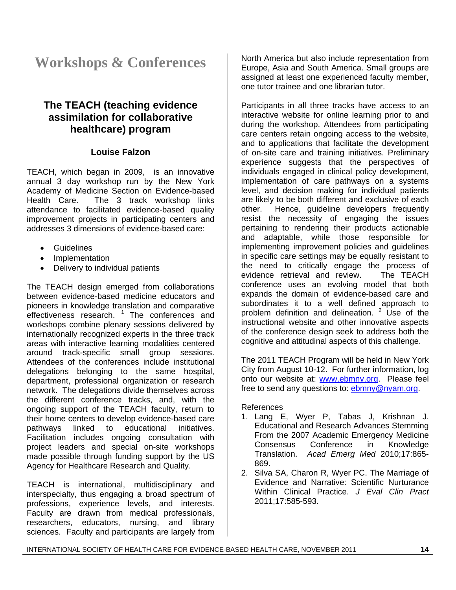# **Workshops & Conferences**

## **The TEACH (teaching evidence assimilation for collaborative healthcare) program**

### **Louise Falzon**

TEACH, which began in 2009, is an innovative annual 3 day workshop run by the New York Academy of Medicine Section on Evidence-based Health Care. The 3 track workshop links attendance to facilitated evidence-based quality improvement projects in participating centers and addresses 3 dimensions of evidence-based care:

- Guidelines
- Implementation
- Delivery to individual patients

The TEACH design emerged from collaborations between evidence-based medicine educators and pioneers in knowledge translation and comparative effectiveness research. <sup>1</sup> The conferences and workshops combine plenary sessions delivered by internationally recognized experts in the three track areas with interactive learning modalities centered around track-specific small group sessions. Attendees of the conferences include institutional delegations belonging to the same hospital, department, professional organization or research network. The delegations divide themselves across the different conference tracks, and, with the ongoing support of the TEACH faculty, return to their home centers to develop evidence-based care pathways linked to educational initiatives. Facilitation includes ongoing consultation with project leaders and special on-site workshops made possible through funding support by the US Agency for Healthcare Research and Quality.

TEACH is international, multidisciplinary and interspecialty, thus engaging a broad spectrum of professions, experience levels, and interests. Faculty are drawn from medical professionals, researchers, educators, nursing, and library sciences. Faculty and participants are largely from

North America but also include representation from Europe, Asia and South America. Small groups are assigned at least one experienced faculty member, one tutor trainee and one librarian tutor.

Participants in all three tracks have access to an interactive website for online learning prior to and during the workshop. Attendees from participating care centers retain ongoing access to the website, and to applications that facilitate the development of on-site care and training initiatives. Preliminary experience suggests that the perspectives of individuals engaged in clinical policy development, implementation of care pathways on a systems level, and decision making for individual patients are likely to be both different and exclusive of each other. Hence, guideline developers frequently resist the necessity of engaging the issues pertaining to rendering their products actionable and adaptable, while those responsible for implementing improvement policies and guidelines in specific care settings may be equally resistant to the need to critically engage the process of evidence retrieval and review. The TEACH conference uses an evolving model that both expands the domain of evidence-based care and subordinates it to a well defined approach to problem definition and delineation. <sup>2</sup> Use of the instructional website and other innovative aspects of the conference design seek to address both the cognitive and attitudinal aspects of this challenge.

The 2011 TEACH Program will be held in New York City from August 10-12. For further information, log onto our website at: www.ebmny.org. Please feel free to send any questions to: ebmny@nyam.org.

References

- 1. Lang E, Wyer P, Tabas J, Krishnan J. Educational and Research Advances Stemming From the 2007 Academic Emergency Medicine Consensus Conference in Knowledge Translation. *Acad Emerg Med* 2010;17:865- 869.
- 2. Silva SA, Charon R, Wyer PC. The Marriage of Evidence and Narrative: Scientific Nurturance Within Clinical Practice. *J Eval Clin Pract* 2011;17:585-593.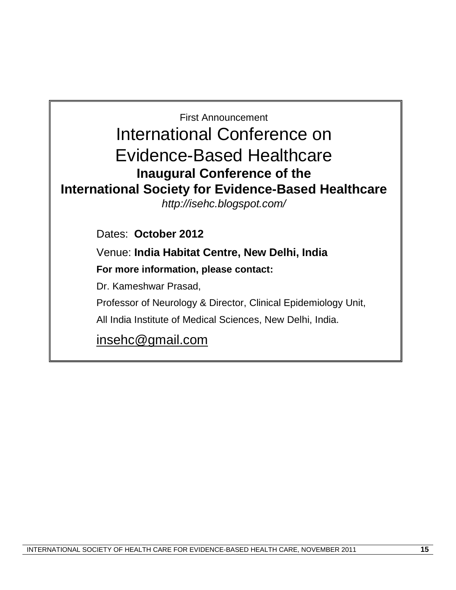First Announcement International Conference on Evidence-Based Healthcare **Inaugural Conference of the International Society for Evidence-Based Healthcare** *http://isehc.blogspot.com/* Dates: **October 2012**  Venue: **India Habitat Centre, New Delhi, India For more information, please contact:**  Dr. Kameshwar Prasad, Professor of Neurology & Director, Clinical Epidemiology Unit, All India Institute of Medical Sciences, New Delhi, India. insehc@gmail.com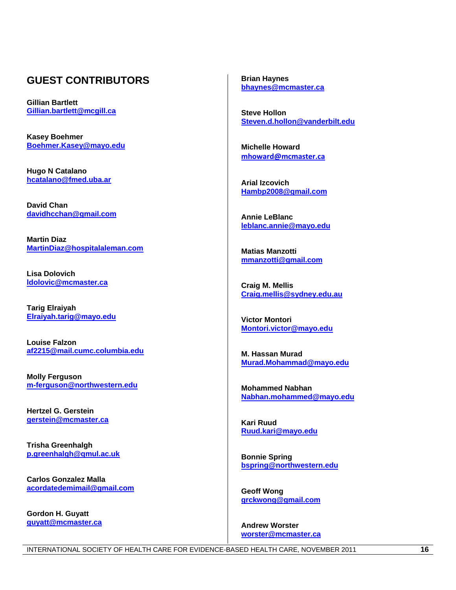## **GUEST CONTRIBUTORS**

**Gillian Bartlett Gillian.bartlett@mcgill.ca**

**Kasey Boehmer Boehmer.Kasey@mayo.edu**

**Hugo N Catalano hcatalano@fmed.uba.ar**

**David Chan davidhcchan@gmail.com**

**Martin Diaz MartinDiaz@hospitalaleman.com**

**Lisa Dolovich ldolovic@mcmaster.ca**

**Tarig Elraiyah Elraiyah.tarig@mayo.edu**

**Louise Falzon af2215@mail.cumc.columbia.edu**

**Molly Ferguson m-ferguson@northwestern.edu**

**Hertzel G. Gerstein gerstein@mcmaster.ca**

**Trisha Greenhalgh p.greenhalgh@qmul.ac.uk**

**Carlos Gonzalez Malla acordatedemimail@gmail.com**

**Gordon H. Guyatt guyatt@mcmaster.ca** **Brian Haynes bhaynes@mcmaster.ca**

**Steve Hollon Steven.d.hollon@vanderbilt.edu**

**Michelle Howard mhoward@mcmaster.ca**

**Arial Izcovich Hambp2008@gmail.com**

**Annie LeBlanc leblanc.annie@mayo.edu**

**Matias Manzotti mmanzotti@gmail.com**

**Craig M. Mellis Craig.mellis@sydney.edu.au**

**Victor Montori Montori.victor@mayo.edu**

**M. Hassan Murad Murad.Mohammad@mayo.edu**

**Mohammed Nabhan Nabhan.mohammed@mayo.edu**

**Kari Ruud Ruud.kari@mayo.edu**

**Bonnie Spring bspring@northwestern.edu**

**Geoff Wong grckwong@gmail.com**

**Andrew Worster worster@mcmaster.ca**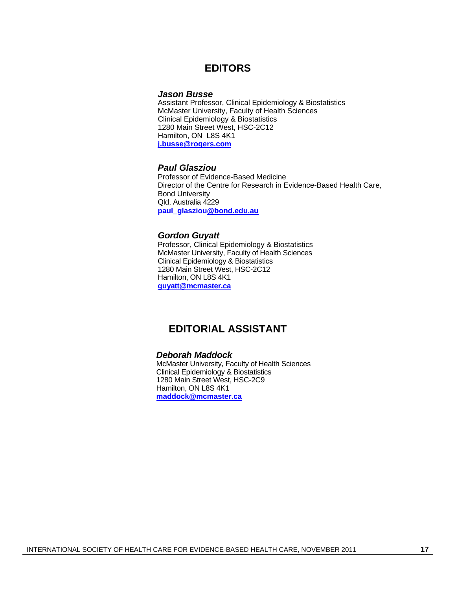## **EDITORS**

#### *Jason Busse*

Assistant Professor, Clinical Epidemiology & Biostatistics McMaster University, Faculty of Health Sciences Clinical Epidemiology & Biostatistics 1280 Main Street West, HSC-2C12 Hamilton, ON L8S 4K1 **j.busse@rogers.com**

#### *Paul Glasziou*

Professor of Evidence-Based Medicine Director of the Centre for Research in Evidence-Based Health Care, Bond University Qld, Australia 4229 **paul\_glasziou@bond.edu.au**

#### *Gordon Guyatt*

Professor, Clinical Epidemiology & Biostatistics McMaster University, Faculty of Health Sciences Clinical Epidemiology & Biostatistics 1280 Main Street West, HSC-2C12 Hamilton, ON L8S 4K1 **guyatt@mcmaster.ca**

## **EDITORIAL ASSISTANT**

#### *Deborah Maddock*

McMaster University, Faculty of Health Sciences Clinical Epidemiology & Biostatistics 1280 Main Street West, HSC-2C9 Hamilton, ON L8S 4K1 **maddock@mcmaster.ca**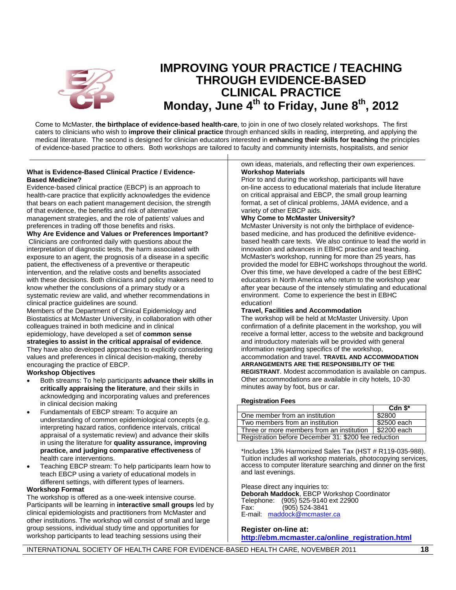

# **IMPROVING YOUR PRACTICE / TEACHING THROUGH EVIDENCE-BASED CLINICAL PRACTICE Monday, June 4th to Friday, June 8th , 2012**

medical literature. The second is designed for clinician educators interested in **enhancing their skills for teaching** the principles of evidence-based practice to others. Both workshops are tailored to faculty and community internists, hospitalists, and senior Come to McMaster, **the birthplace of evidence-based health-care**, to join in one of two closely related workshops. The first caters to clinicians who wish to **improve their clinical practice** through enhanced skills in reading, interpreting, and applying the

#### **What is Evidence-Based Clinical Practice / Evidence-Based Medicine?**

Evidence-based clinical practice (EBCP) is an approach to health-care practice that explicitly acknowledges the evidence that bears on each patient management decision, the strength of that evidence, the benefits and risk of alternative management strategies, and the role of patients' values and preferences in trading off those benefits and risks.

**Why Are Evidence and Values or Preferences Important?** Clinicians are confronted daily with questions about the interpretation of diagnostic tests, the harm associated with exposure to an agent, the prognosis of a disease in a specific patient, the effectiveness of a preventive or therapeutic intervention, and the relative costs and benefits associated with these decisions. Both clinicians and policy makers need to know whether the conclusions of a primary study or a systematic review are valid, and whether recommendations in clinical practice guidelines are sound.

Members of the Department of Clinical Epidemiology and Biostatistics at McMaster University, in collaboration with other colleagues trained in both medicine and in clinical epidemiology, have developed a set of **common sense** 

# **strategies to assist in the critical appraisal of evidence**.

They have also developed approaches to explicitly considering values and preferences in clinical decision-making, thereby encouraging the practice of EBCP.

**Workshop Objectives**

- Both streams: To help participants **advance their skills in critically appraising the literature**, and their skills in acknowledging and incorporating values and preferences in clinical decision making
- Fundamentals of EBCP stream: To acquire an understanding of common epidemiological concepts (e.g. interpreting hazard ratios, confidence intervals, critical appraisal of a systematic review) and advance their skills in using the literature for **quality assurance, improving practice, and judging comparative effectiveness** of health care interventions.
- Teaching EBCP stream: To help participants learn how to teach EBCP using a variety of educational models in different settings, with different types of learners.

#### **Workshop Format**

The workshop is offered as a one-week intensive course. Participants will be learning in **interactive small groups** led by clinical epidemiologists and practitioners from McMaster and other institutions. The workshop will consist of small and large group sessions, individual study time and opportunities for workshop participants to lead teaching sessions using their

own ideas, materials, and reflecting their own experiences. **Workshop Materials**

Prior to and during the workshop, participants will have on-line access to educational materials that include literature on critical appraisal and EBCP, the small group learning format, a set of clinical problems, JAMA evidence, and a variety of other EBCP aids.

#### **Why Come to McMaster University?**

McMaster University is not only the birthplace of evidencebased medicine, and has produced the definitive evidencebased health care texts. We also continue to lead the world in innovation and advances in EBHC practice and teaching. McMaster's workshop, running for more than 25 years, has provided the model for EBHC workshops throughout the world. Over this time, we have developed a cadre of the best EBHC educators in North America who return to the workshop year after year because of the intensely stimulating and educational environment. Come to experience the best in EBHC education!

#### **Travel, Facilities and Accommodation**

The workshop will be held at McMaster University. Upon confirmation of a definite placement in the workshop, you will receive a formal letter, access to the website and background and introductory materials will be provided with general information regarding specifics of the workshop, accommodation and travel. **TRAVEL AND ACCOMMODATION**

### **ARRANGEMENTS ARE THE RESPONSIBILITY OF THE**

**REGISTRANT**. Modest accommodation is available on campus. Other accommodations are available in city hotels, 10-30 minutes away by foot, bus or car.

#### **Registration Fees**

|                                                         | Cdn $$^*$   |  |
|---------------------------------------------------------|-------------|--|
| One member from an institution                          | \$2800      |  |
| Two members from an institution                         | \$2500 each |  |
| Three or more members from an institution 1 \$2200 each |             |  |
| Registration before December 31: \$200 fee reduction    |             |  |

\*Includes 13% Harmonized Sales Tax (HST # R119-035-988). Tuition includes all workshop materials, photocopying services, access to computer literature searching and dinner on the first and last evenings.

Please direct any inquiries to:

**Deborah Maddock**, EBCP Workshop Coordinator Telephone: (905) 525-9140 ext 22900<br>Fax: (905) 524-3841 Fax: (905) 524-3841 E-mail: maddock@mcmaster.ca

#### **Register on-line at: http://ebm.mcmaster.ca/online\_registration.html**